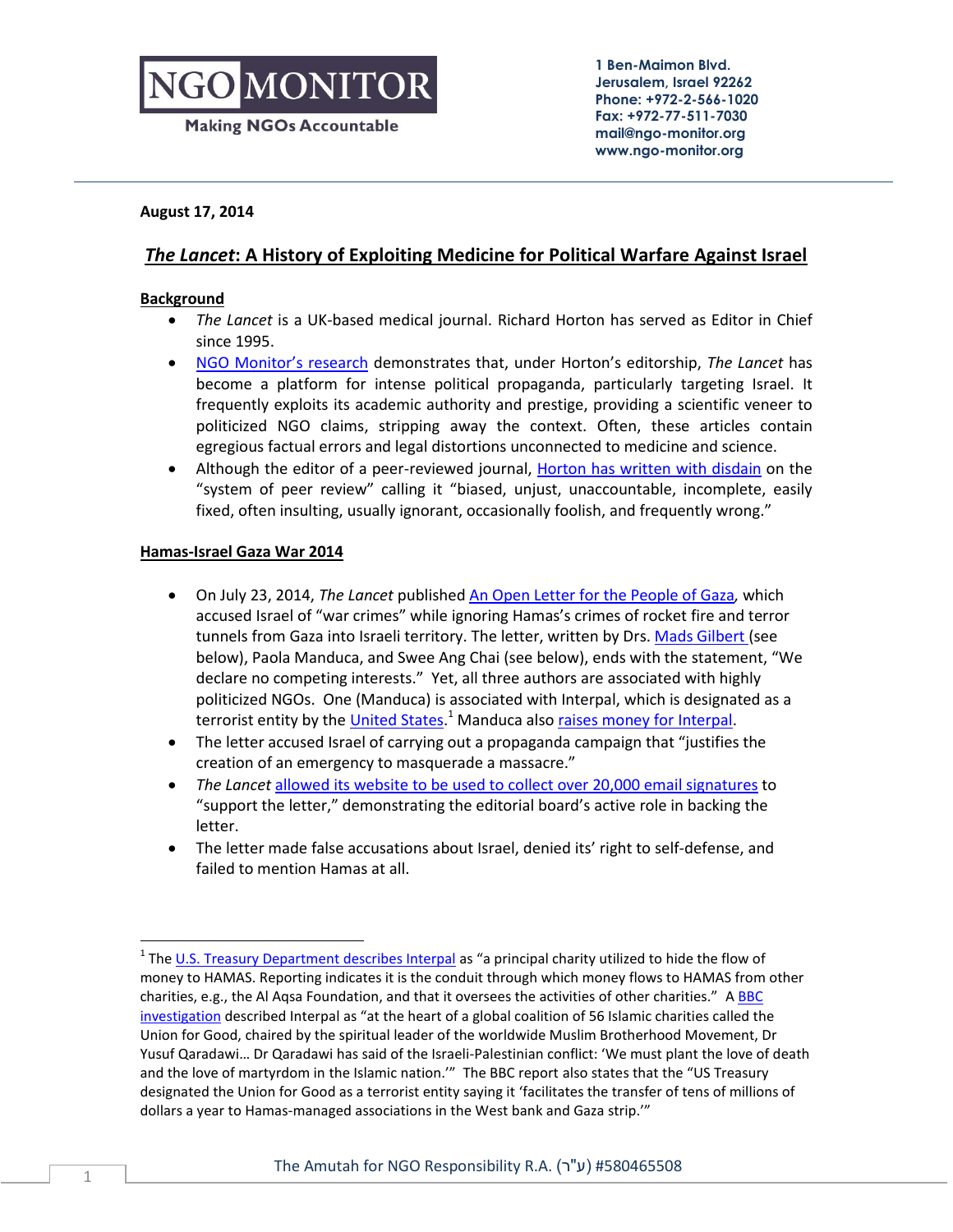# NGO MONITOR

**Making NGOs Accountable** 

**1 Ben-Maimon Blvd. Jerusalem, Israel 92262 Phone: +972-2-566-1020 Fax: +972-77-511-7030 mail@ngo-monitor.org www.ngo-monitor.org**

#### **August 17, 2014**

### *The Lancet***: A History of Exploiting Medicine for Political Warfare Against Israel**

#### **Background**

- *The Lancet* is a UK-based medical journal. Richard Horton has served as Editor in Chief since 1995.
- [NGO Monitor's research](http://www.ngo-monitor.org/data/images/File/NGO_Malpractice.pdf) demonstrates that, under Horton's editorship, *The Lancet* has become a platform for intense political propaganda, particularly targeting Israel. It frequently exploits its academic authority and prestige, providing a scientific veneer to politicized NGO claims, stripping away the context. Often, these articles contain egregious factual errors and legal distortions unconnected to medicine and science.
- Although the editor of a peer-reviewed journal, [Horton has written with disdain](http://www.scientific-alliance.org/scientific-alliance-newsletter/perils-peer-review) on the "system of peer review" calling it "biased, unjust, unaccountable, incomplete, easily fixed, often insulting, usually ignorant, occasionally foolish, and frequently wrong."

#### **Hamas-Israel Gaza War 2014**

- On July 23, 2014, *The Lancet* publishe[d An Open Letter for the People of Gaza](http://www.thelancet.com/journals/lancet/article/PIIS0140-6736(14)61044-8/fulltext)*,* which accused Israel of "war crimes" while ignoring Hamas's crimes of rocket fire and terror tunnels from Gaza into Israeli territory. The letter, written by Drs[. Mads Gilbert](http://www.ngo-monitor.org/article/dr_mads_gilbert_exploiting_medicine_for_propaganda_and_hate) (see below), Paola Manduca, and Swee Ang Chai (see below), ends with the statement, "We declare no competing interests." Yet, all three authors are associated with highly politicized NGOs. One (Manduca) is associated with Interpal, which is designated as a terrorist entity by the <u>United States</u>.<sup>1</sup> Manduca also **raises money for Interpal**.
- The letter accused Israel of carrying out a propaganda campaign that "justifies the creation of an emergency to masquerade a massacre."
- *The Lancet* [allowed its website to be used to collect over 20,000 email signatures](http://www.thelancet.com/gaza-letter-2014) to "support the letter," demonstrating the editorial board's active role in backing the letter.
- The letter made false accusations about Israel, denied its' right to self-defense, and failed to mention Hamas at all.

 $\overline{\phantom{a}}$ 

<sup>&</sup>lt;sup>1</sup> The <u>U.S. Treasury [Department describes Interpal](http://www.treasury.gov/resource-center/terrorist-illicit-finance/Pages/protecting-charities_execorder_13224-i.aspx#interpal)</u> as "a principal charity utilized to hide the flow of money to HAMAS. Reporting indicates it is the conduit through which money flows to HAMAS from other charities, e.g., the Al Aqsa Foundation, and that it oversees the activities of other charities." [A BBC](http://news.bbc.co.uk/panorama/hi/front_page/newsid_7915000/7915916.stm)  [investigation](http://news.bbc.co.uk/panorama/hi/front_page/newsid_7915000/7915916.stm) described Interpal as "at the heart of a global coalition of 56 Islamic charities called the Union for Good, chaired by the spiritual leader of the worldwide Muslim Brotherhood Movement, Dr Yusuf Qaradawi… Dr Qaradawi has said of the Israeli-Palestinian conflict: 'We must plant the love of death and the love of martyrdom in the Islamic nation.'" The BBC report also states that the "US Treasury designated the Union for Good as a terrorist entity saying it 'facilitates the transfer of tens of millions of dollars a year to Hamas-managed associations in the West bank and Gaza strip.'"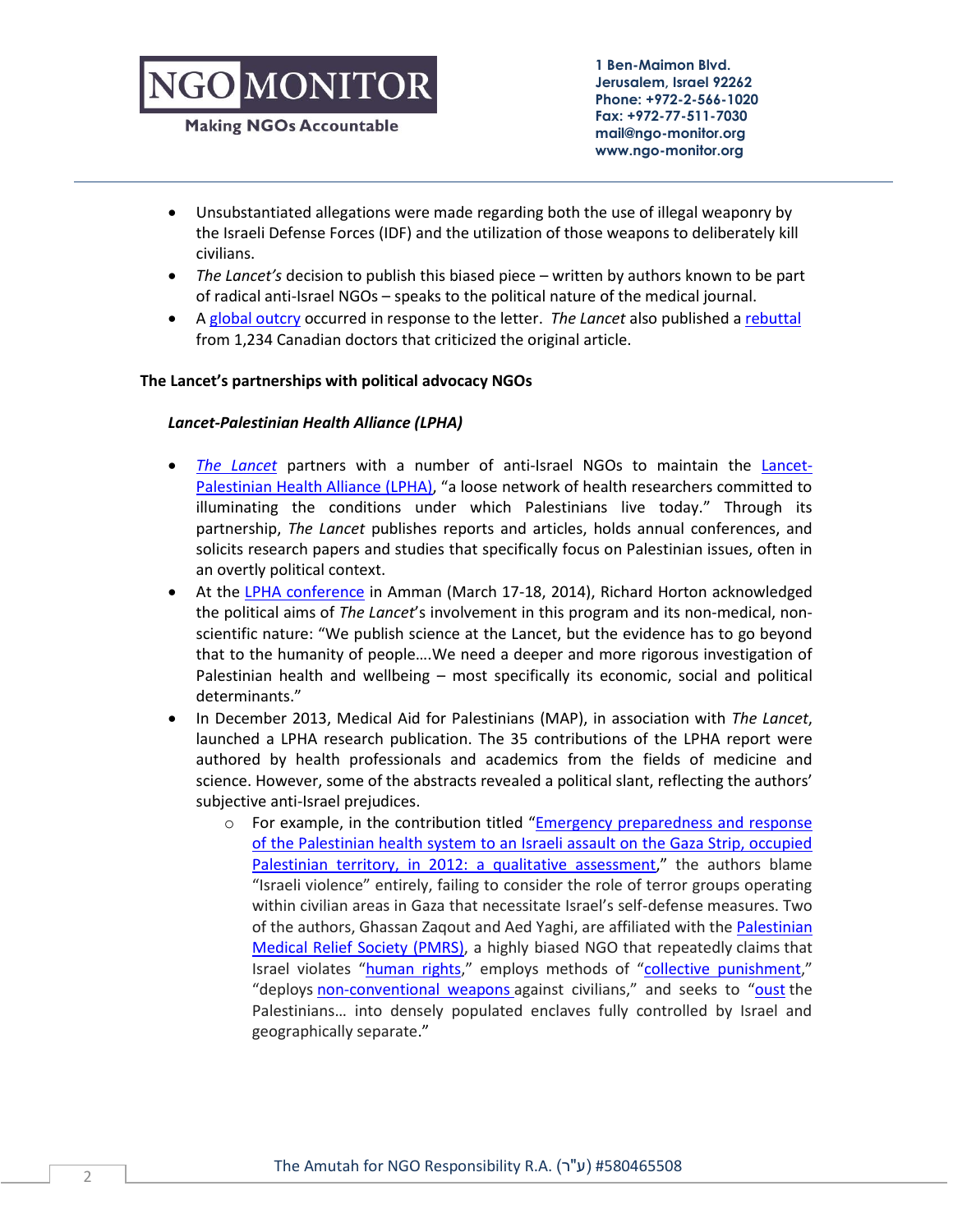## NGO MONITOR

**Making NGOs Accountable** 

**1 Ben-Maimon Blvd. Jerusalem, Israel 92262 Phone: +972-2-566-1020 Fax: +972-77-511-7030 mail@ngo-monitor.org www.ngo-monitor.org**

- Unsubstantiated allegations were made regarding both the use of illegal weaponry by the Israeli Defense Forces (IDF) and the utilization of those weapons to deliberately kill civilians.
- *The Lancet's* decision to publish this biased piece written by authors known to be part of radical anti-Israel NGOs – speaks to the political nature of the medical journal.
- A [global outcry](http://www.ngo-monitor.org/article/analysis_of_medical_ngo_agendas_and_distortions_on_the_gaza_conflict_) occurred in response to the letter. *The Lancet* also published a [rebuttal](file:///C:/Documents%20and%20Settings/NGO_User4/My%20Documents/Downloads/Operation%20Protective%20Edge) from 1,234 Canadian doctors that criticized the original article.

#### **The Lancet's partnerships with political advocacy NGOs**

#### *Lancet-Palestinian Health Alliance (LPHA)*

- *[The Lancet](http://www.thelancet.com/)* partners with a number of anti-Israel NGOs to maintain the [Lancet-](http://www.thelancet.com/journals/lancet/article/PIIS0140-6736(13)62233-3/fulltext)[Palestinian Health Alliance \(LPHA\)](http://www.thelancet.com/journals/lancet/article/PIIS0140-6736(13)62233-3/fulltext), "a loose network of health researchers committed to illuminating the conditions under which Palestinians live today." Through its partnership, *The Lancet* publishes reports and articles, holds annual conferences, and solicits research papers and studies that specifically focus on Palestinian issues, often in an overtly political context.
- At the [LPHA conference](http://www.map-uk.org/news/a-reunification-project-for-palestinians.aspx) in Amman (March 17-18, 2014), Richard Horton acknowledged the political aims of *The Lancet*'s involvement in this program and its non-medical, nonscientific nature: "We publish science at the Lancet, but the evidence has to go beyond that to the humanity of people….We need a deeper and more rigorous investigation of Palestinian health and wellbeing – most specifically its economic, social and political determinants."
- In December 2013, Medical Aid for Palestinians (MAP), in association with *The Lancet*, launched a LPHA research publication. The 35 contributions of the LPHA report were authored by health professionals and academics from the fields of medicine and science. However, some of the abstracts revealed a political slant, reflecting the authors' subjective anti-Israel prejudices.
	- $\circ$  For example, in the contribution titled "Emergency preparedness and response [of the Palestinian health system to an Israeli assault on the Gaza Strip, occupied](http://www.thelancet.com/journals/lancet/article/PIIS0140-6736(13)62578-7/fulltext)  [Palestinian territory, in 2012: a qualitative assessment,](http://www.thelancet.com/journals/lancet/article/PIIS0140-6736(13)62578-7/fulltext)" the authors blame "Israeli violence" entirely, failing to consider the role of terror groups operating within civilian areas in Gaza that necessitate Israel's self-defense measures. Two of the authors, Ghassan Zaqout and Aed Yaghi, are affiliated with the [Palestinian](http://www.ngo-monitor.org/article/palestinian_medical_relief_society_pmrs_)  [Medical Relief Society](http://www.ngo-monitor.org/article/palestinian_medical_relief_society_pmrs_) (PMRS), a highly biased NGO that repeatedly claims that Israel violates "[human rights](http://pmrs.ps/details.php?id=u85ojpa2737y093ww5263)," employs methods of "[collective punishment](http://www.phmovement.org/es/node/486)," "deploys [non-conventional](http://www.ngo-monitor.org/data/images/File/NGO_Malpractice.pdf) weapons against civilians," and seeks to "[oust](http://www.pmrs.ps/) the Palestinians… into densely populated enclaves fully controlled by Israel and geographically separate."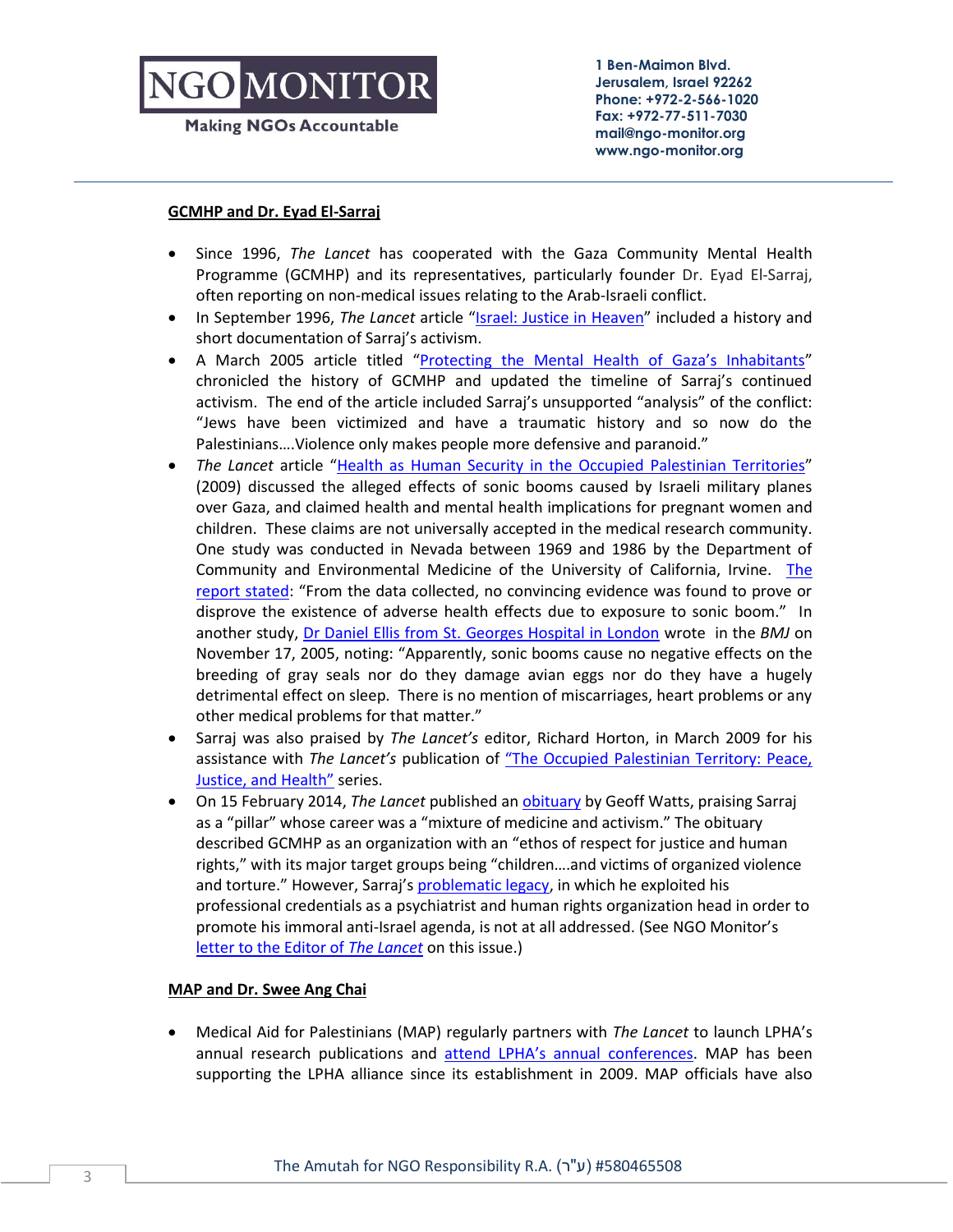

**Making NGOs Accountable** 

**1 Ben-Maimon Blvd. Jerusalem, Israel 92262 Phone: +972-2-566-1020 Fax: +972-77-511-7030 mail@ngo-monitor.org www.ngo-monitor.org**

#### **GCMHP and Dr. Eyad El-Sarraj**

- Since 1996, *The Lancet* has cooperated with the Gaza Community Mental Health Programme (GCMHP) and its representatives, particularly founder Dr. Eyad El-Sarraj, often reporting on non-medical issues relating to the Arab-Israeli conflict.
- In September 1996, *The Lancet* article "[Israel: Justice in Heaven](http://www.thelancet.com/journals/lancet/article/PIIS0140-6736(05)65606-1/fulltext#article_upsell)" included a history and short documentation of Sarraj's activism.
- A March 2005 article titled ["Protecting the Mental Health of Gaza's Inhabitants"](http://www.thelancet.com/journals/lancet/article/PIIS0140-6736(05)71860-2/fulltext) chronicled the history of GCMHP and updated the timeline of Sarraj's continued activism. The end of the article included Sarraj's unsupported "analysis" of the conflict: "Jews have been victimized and have a traumatic history and so now do the Palestinians….Violence only makes people more defensive and paranoid."
- *The Lancet* article "[Health as Human Security in the Occupied Palestinian Territories](http://www.thelancet.com/journals/lancet/article/PIIS0140-6736(09)60110-0/abstract)" (2009) discussed the alleged effects of sonic booms caused by Israeli military planes over Gaza, and claimed health and mental health implications for pregnant women and children. These claims are not universally accepted in the medical research community. One study was conducted in Nevada between 1969 and 1986 by the Department of Community and Environmental Medicine of the University of California, Irvine. [The](http://nepis.epa.gov/Exe/ZyNET.exe/9101C5O3.TXT?ZyActionD=ZyDocument&Client=EPA&Index=Prior+to+1976&Docs=&Query=&Time=&EndTime=&SearchMethod=1&TocRestrict=n&Toc=&TocEntry=&QField=&QFieldYear=&QFieldMonth=&QFieldDay=&IntQFieldOp=0&ExtQFieldOp=0&XmlQuery=&Fi)  [report stated](http://nepis.epa.gov/Exe/ZyNET.exe/9101C5O3.TXT?ZyActionD=ZyDocument&Client=EPA&Index=Prior+to+1976&Docs=&Query=&Time=&EndTime=&SearchMethod=1&TocRestrict=n&Toc=&TocEntry=&QField=&QFieldYear=&QFieldMonth=&QFieldDay=&IntQFieldOp=0&ExtQFieldOp=0&XmlQuery=&Fi): "From the data collected, no convincing evidence was found to prove or disprove the existence of adverse health effects due to exposure to sonic boom." In another study, [Dr Daniel Ellis from St. Georges Hospital in London](http://www.bmj.com/content/331/7525/1100.1?tab=responses) wrote in the *BMJ* on November 17, 2005, noting: "Apparently, sonic booms cause no negative effects on the breeding of gray seals nor do they damage avian eggs nor do they have a hugely detrimental effect on sleep. There is no mention of miscarriages, heart problems or any other medical problems for that matter."
- Sarraj was also praised by *The Lancet's* editor, Richard Horton, in March 2009 for his assistance with *The Lancet's* publication of ["The Occupied Palestinian Territory: Peace,](http://www.thelancet.com/journals/lancet/article/PIIS0140-6736(09)60100-8/fulltext)  [Justice, and Health"](http://www.thelancet.com/journals/lancet/article/PIIS0140-6736(09)60100-8/fulltext) series.
- On 15 February 2014, *The Lancet* published a[n obituary](http://www.thelancet.com/journals/lancet/article/PIIS0140-6736(14)60210-5/fulltext?rss%3Dyes) by Geoff Watts, praising Sarraj as a "pillar" whose career was a "mixture of medicine and activism." The obituary described GCMHP as an organization with an "ethos of respect for justice and human rights," with its major target groups being "children….and victims of organized violence and torture." However, Sarraj's [problematic legacy,](http://www.jpost.com/Opinion/Op-Ed-Contributors/A-Palestinian-doctors-difficult-legacy-336148) in which he exploited his professional credentials as a psychiatrist and human rights organization head in order to promote his immoral anti-Israel agenda, is not at all addressed. (See NGO Monitor's letter [to the Editor of](http://www.ngo-monitor.org/article/letter_to_the_editor_of_the_lancet_regarding_the_obituary_eyad_rajab_el_sarraj_by_geoff_watts_published_feb_in_the_lancet_) *The Lancet* on this issue.)

#### **MAP and Dr. Swee Ang Chai**

 Medical Aid for Palestinians (MAP) regularly partners with *The Lancet* to launch LPHA's annual research publications and [attend LPHA's annual conferences](http://www.map-uk.org/news/a-reunification-project-for-palestinians.aspx). MAP has been supporting the LPHA alliance since its establishment in 2009. MAP officials have also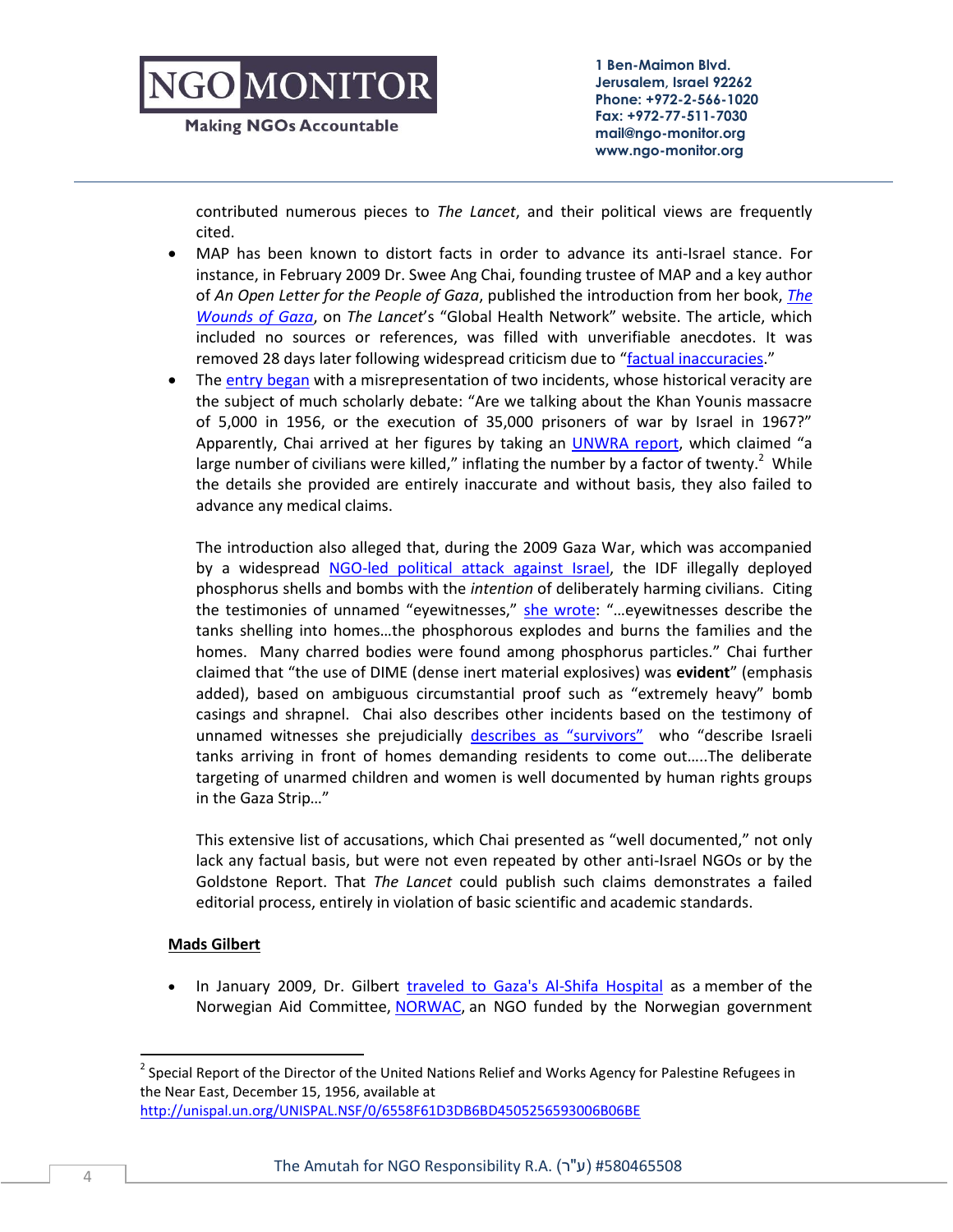

**Making NGOs Accountable** 

**1 Ben-Maimon Blvd. Jerusalem, Israel 92262 Phone: +972-2-566-1020 Fax: +972-77-511-7030 mail@ngo-monitor.org www.ngo-monitor.org**

contributed numerous pieces to *The Lancet*, and their political views are frequently cited.

- MAP has been known to distort facts in order to advance its anti-Israel stance. For instance, in February 2009 Dr. Swee Ang Chai, founding trustee of MAP and a key author of *An Open Letter for the People of Gaza*, published the introduction from her book, *[The](https://www.middleeastmonitor.com/resources/reports-and-publications/405-introduction-from-beirut-to-jerusalem-2009-the-wounds-of-gaza)  [Wounds of Gaza](https://www.middleeastmonitor.com/resources/reports-and-publications/405-introduction-from-beirut-to-jerusalem-2009-the-wounds-of-gaza)*, on *The Lancet*'s "Global Health Network" website. The article, which included no sources or references, was filled with unverifiable anecdotes. It was removed 28 days later following widespread criticism due to "[factual inaccuracies](http://www.thepeoplesvoice.org/TPV3/Voices.php/2009/03/05/lancet-withdraws-gaza-article-author-res)."
- The [entry began](https://www.middleeastmonitor.com/resources/reports-and-publications/405-introduction-from-beirut-to-jerusalem-2009-the-wounds-of-gaza) with a misrepresentation of two incidents, whose historical veracity are the subject of much scholarly debate: "Are we talking about the Khan Younis massacre of 5,000 in 1956, or the execution of 35,000 prisoners of war by Israel in 1967?" Apparently, Chai arrived at her figures by taking an [UNWRA report](http://unispal.un.org/UNISPAL.NSF/0/6558F61D3DB6BD4505256593006B06BE), which claimed "a large number of civilians were killed," inflating the number by a factor of twenty. $2$  While the details she provided are entirely inaccurate and without basis, they also failed to advance any medical claims.

The introduction also alleged that, during the 2009 Gaza War, which was accompanied by a widespread [NGO-led political attack against](http://www.ngo-monitor.org/article/the_goldstone_report_reconsidered_a_critical_analysis) Israel, the IDF illegally deployed phosphorus shells and bombs with the *intention* of deliberately harming civilians. Citing the testimonies of unnamed "eyewitnesses," [she wrote](https://www.middleeastmonitor.com/resources/reports-and-publications/405-introduction-from-beirut-to-jerusalem-2009-the-wounds-of-gaza): "…eyewitnesses describe the tanks shelling into homes…the phosphorous explodes and burns the families and the homes. Many charred bodies were found among phosphorus particles." Chai further claimed that "the use of DIME (dense inert material explosives) was **evident**" (emphasis added), based on ambiguous circumstantial proof such as "extremely heavy" bomb casings and shrapnel. Chai also describes other incidents based on the testimony of unnamed witnesses she prejudicially [describes as "survivors"](https://www.middleeastmonitor.com/resources/reports-and-publications/405-introduction-from-beirut-to-jerusalem-2009-the-wounds-of-gaza) who "describe Israeli tanks arriving in front of homes demanding residents to come out…..The deliberate targeting of unarmed children and women is well documented by human rights groups in the Gaza Strip…"

This extensive list of accusations, which Chai presented as "well documented," not only lack any factual basis, but were not even repeated by other anti-Israel NGOs or by the Goldstone Report. That *The Lancet* could publish such claims demonstrates a failed editorial process, entirely in violation of basic scientific and academic standards.

#### **Mads Gilbert**

• In January 2009, Dr. Gilbert [traveled to Gaza's Al-Shifa Hospital](http://www.nrk.no/kultur/leger-som-verdens-pressekorps-1.6383876) as a member of the Norwegian Aid Committee, [NORWAC,](http://r20.rs6.net/tn.jsp?e=001nFniTWhcBA2sJqTMmNw3XPZ_T8ATcu9QOKXYZlOUfryk0B6yCBphn88TM67ilX3pGtXh945cKvEWcbHVoAUCNc1pWcLF5Ei_1l8B1-B608M=) an NGO funded by the Norwegian government

 $\overline{\phantom{a}}$ 

<sup>&</sup>lt;sup>2</sup> Special Report of the Director of the United Nations Relief and Works Agency for Palestine Refugees in the Near East, December 15, 1956, available at <http://unispal.un.org/UNISPAL.NSF/0/6558F61D3DB6BD4505256593006B06BE>